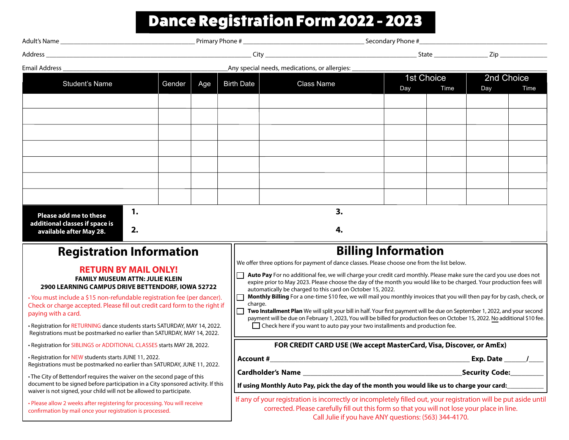## Dance Registration Form 2022 - 2023

| Any special needs, medications, or allergies: ___<br>Email Address ________________                                                                         |        |     |                                                                                                                                                                                              |                                                                                                                                                                                                                                                            |            |      |                               |      |  |
|-------------------------------------------------------------------------------------------------------------------------------------------------------------|--------|-----|----------------------------------------------------------------------------------------------------------------------------------------------------------------------------------------------|------------------------------------------------------------------------------------------------------------------------------------------------------------------------------------------------------------------------------------------------------------|------------|------|-------------------------------|------|--|
| <b>Student's Name</b>                                                                                                                                       | Gender | Age | <b>Birth Date</b>                                                                                                                                                                            | <b>Class Name</b>                                                                                                                                                                                                                                          | 1st Choice |      | 2nd Choice                    |      |  |
|                                                                                                                                                             |        |     |                                                                                                                                                                                              |                                                                                                                                                                                                                                                            | Day        | Time | Day                           | Time |  |
|                                                                                                                                                             |        |     |                                                                                                                                                                                              |                                                                                                                                                                                                                                                            |            |      |                               |      |  |
|                                                                                                                                                             |        |     |                                                                                                                                                                                              |                                                                                                                                                                                                                                                            |            |      |                               |      |  |
|                                                                                                                                                             |        |     |                                                                                                                                                                                              |                                                                                                                                                                                                                                                            |            |      |                               |      |  |
|                                                                                                                                                             |        |     |                                                                                                                                                                                              |                                                                                                                                                                                                                                                            |            |      |                               |      |  |
|                                                                                                                                                             |        |     |                                                                                                                                                                                              |                                                                                                                                                                                                                                                            |            |      |                               |      |  |
|                                                                                                                                                             |        |     |                                                                                                                                                                                              |                                                                                                                                                                                                                                                            |            |      |                               |      |  |
|                                                                                                                                                             |        |     |                                                                                                                                                                                              |                                                                                                                                                                                                                                                            |            |      |                               |      |  |
|                                                                                                                                                             |        |     |                                                                                                                                                                                              |                                                                                                                                                                                                                                                            |            |      |                               |      |  |
| 1.                                                                                                                                                          |        |     |                                                                                                                                                                                              |                                                                                                                                                                                                                                                            |            |      |                               |      |  |
| Please add me to these<br>additional classes if space is<br>2.<br>available after May 28.                                                                   |        |     |                                                                                                                                                                                              | 3.<br>4.                                                                                                                                                                                                                                                   |            |      |                               |      |  |
| <b>Registration Information</b>                                                                                                                             |        |     |                                                                                                                                                                                              | <b>Billing Information</b>                                                                                                                                                                                                                                 |            |      |                               |      |  |
| <b>RETURN BY MAIL ONLY!</b><br><b>FAMILY MUSEUM ATTN: JULIE KLEIN</b>                                                                                       |        |     | We offer three options for payment of dance classes. Please choose one from the list below.                                                                                                  |                                                                                                                                                                                                                                                            |            |      |                               |      |  |
|                                                                                                                                                             |        |     |                                                                                                                                                                                              | Auto Pay For no additional fee, we will charge your credit card monthly. Please make sure the card you use does not<br>expire prior to May 2023. Please choose the day of the month you would like to be charged. Your production fees will                |            |      |                               |      |  |
| 2900 LEARNING CAMPUS DRIVE BETTENDORF, IOWA 52722                                                                                                           |        |     | automatically be charged to this card on October 15, 2022.<br>Monthly Billing For a one-time \$10 fee, we will mail you monthly invoices that you will then pay for by cash, check, or<br>IO |                                                                                                                                                                                                                                                            |            |      |                               |      |  |
| · You must include a \$15 non-refundable registration fee (per dancer).<br>Check or charge accepted. Please fill out credit card form to the right if       |        |     |                                                                                                                                                                                              | charge.                                                                                                                                                                                                                                                    |            |      |                               |      |  |
| paying with a card.                                                                                                                                         |        |     |                                                                                                                                                                                              | Two Installment Plan We will split your bill in half. Your first payment will be due on September 1, 2022, and your second<br>payment will be due on February 1, 2023, You will be billed for production fees on October 15, 2022. No additional \$10 fee. |            |      |                               |      |  |
| . Registration for RETURNING dance students starts SATURDAY, MAY 14, 2022.<br>Registrations must be postmarked no earlier than SATURDAY, MAY 14, 2022.      |        |     |                                                                                                                                                                                              | □ Check here if you want to auto pay your two installments and production fee.                                                                                                                                                                             |            |      |                               |      |  |
| . Registration for SIBLINGS or ADDITIONAL CLASSES starts MAY 28, 2022.                                                                                      |        |     | FOR CREDIT CARD USE (We accept MasterCard, Visa, Discover, or AmEx)                                                                                                                          |                                                                                                                                                                                                                                                            |            |      |                               |      |  |
| . Registration for NEW students starts JUNE 11, 2022.                                                                                                       |        |     | Account #                                                                                                                                                                                    |                                                                                                                                                                                                                                                            |            |      | Exp. Date $\_\_\_\_\_\_\_\_\$ |      |  |
| Registrations must be postmarked no earlier than SATURDAY, JUNE 11, 2022.                                                                                   |        |     |                                                                                                                                                                                              |                                                                                                                                                                                                                                                            |            |      | <b>Security Code:</b>         |      |  |
| • The City of Bettendorf requires the waiver on the second page of this<br>document to be signed before participation in a City sponsored activity. If this |        |     | If using Monthly Auto Pay, pick the day of the month you would like us to charge your card:                                                                                                  |                                                                                                                                                                                                                                                            |            |      |                               |      |  |
| waiver is not signed, your child will not be allowed to participate.                                                                                        |        |     | If any of your registration is incorrectly or incompletely filled out, your registration will be put aside until                                                                             |                                                                                                                                                                                                                                                            |            |      |                               |      |  |
| • Please allow 2 weeks after registering for processing. You will receive<br>confirmation by mail once your registration is processed.                      |        |     |                                                                                                                                                                                              | corrected. Please carefully fill out this form so that you will not lose your place in line.<br>Call Julie if you have ANY questions: (563) 344-4170.                                                                                                      |            |      |                               |      |  |